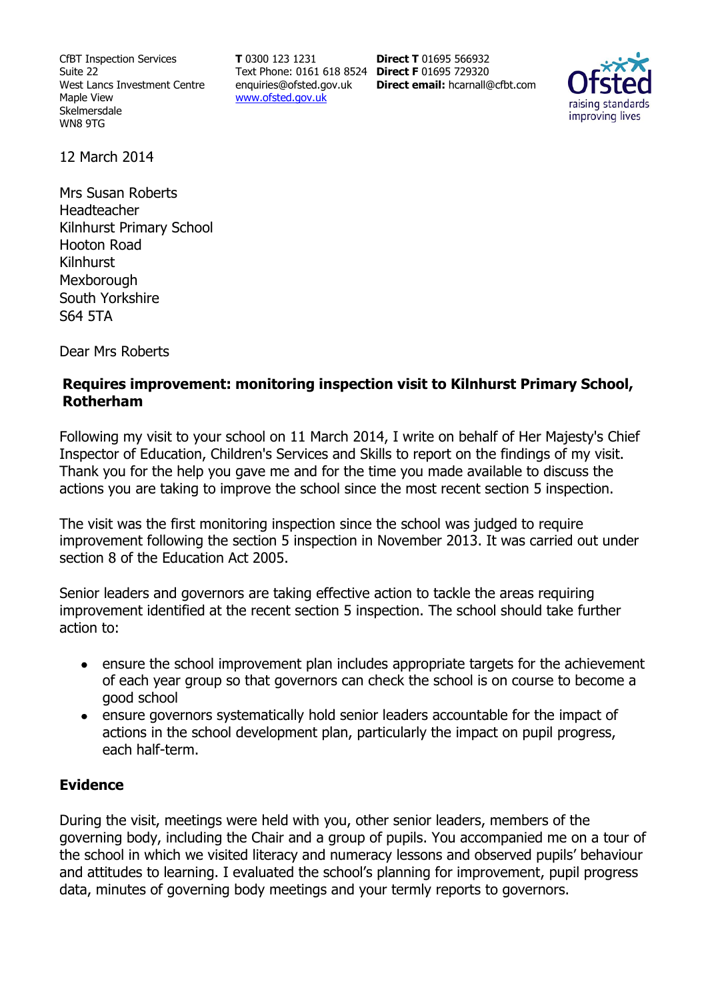CfBT Inspection Services Suite 22 West Lancs Investment Centre Maple View Skelmersdale WN8 9TG

**T** 0300 123 1231 Text Phone: 0161 618 8524 **Direct F** 01695 729320 enquiries@ofsted.gov.uk www.ofsted.gov.uk

**Direct T** 01695 566932 **Direct email:** hcarnall@cfbt.com



12 March 2014

Mrs Susan Roberts Headteacher Kilnhurst Primary School Hooton Road Kilnhurst **Mexborough** South Yorkshire S64 5TA

Dear Mrs Roberts

#### **Requires improvement: monitoring inspection visit to Kilnhurst Primary School, Rotherham**

Following my visit to your school on 11 March 2014, I write on behalf of Her Majesty's Chief Inspector of Education, Children's Services and Skills to report on the findings of my visit. Thank you for the help you gave me and for the time you made available to discuss the actions you are taking to improve the school since the most recent section 5 inspection.

The visit was the first monitoring inspection since the school was judged to require improvement following the section 5 inspection in November 2013. It was carried out under section 8 of the Education Act 2005.

Senior leaders and governors are taking effective action to tackle the areas requiring improvement identified at the recent section 5 inspection. The school should take further action to:

- ensure the school improvement plan includes appropriate targets for the achievement  $\bullet$ of each year group so that governors can check the school is on course to become a good school
- ensure governors systematically hold senior leaders accountable for the impact of  $\bullet$ actions in the school development plan, particularly the impact on pupil progress, each half-term.

#### **Evidence**

During the visit, meetings were held with you, other senior leaders, members of the governing body, including the Chair and a group of pupils. You accompanied me on a tour of the school in which we visited literacy and numeracy lessons and observed pupils' behaviour and attitudes to learning. I evaluated the school's planning for improvement, pupil progress data, minutes of governing body meetings and your termly reports to governors.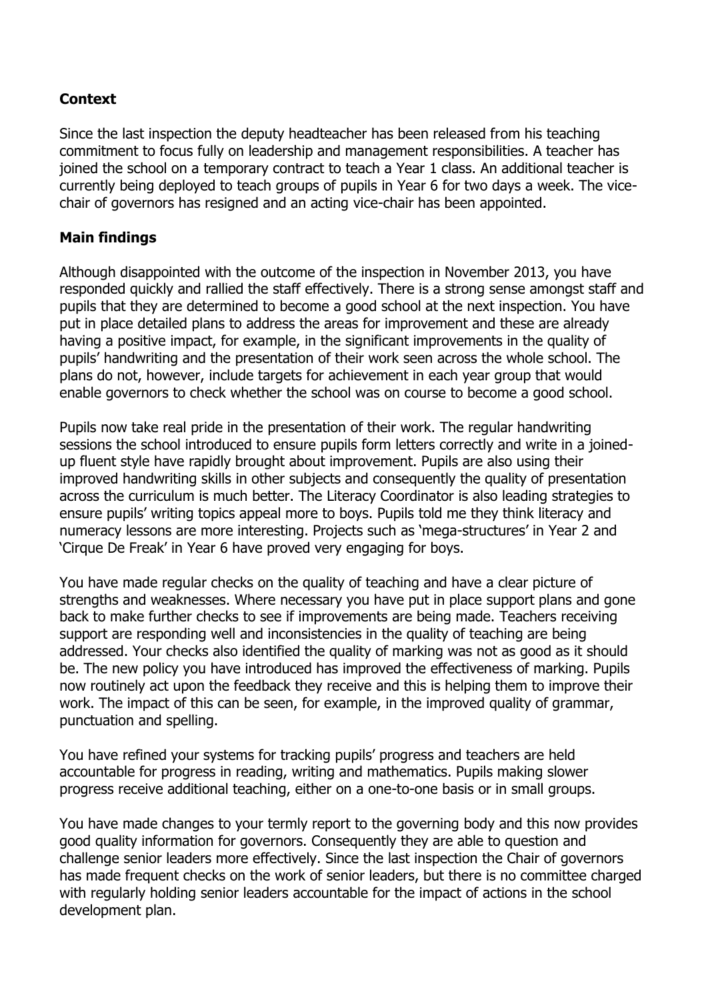## **Context**

Since the last inspection the deputy headteacher has been released from his teaching commitment to focus fully on leadership and management responsibilities. A teacher has joined the school on a temporary contract to teach a Year 1 class. An additional teacher is currently being deployed to teach groups of pupils in Year 6 for two days a week. The vicechair of governors has resigned and an acting vice-chair has been appointed.

## **Main findings**

Although disappointed with the outcome of the inspection in November 2013, you have responded quickly and rallied the staff effectively. There is a strong sense amongst staff and pupils that they are determined to become a good school at the next inspection. You have put in place detailed plans to address the areas for improvement and these are already having a positive impact, for example, in the significant improvements in the quality of pupils' handwriting and the presentation of their work seen across the whole school. The plans do not, however, include targets for achievement in each year group that would enable governors to check whether the school was on course to become a good school.

Pupils now take real pride in the presentation of their work. The regular handwriting sessions the school introduced to ensure pupils form letters correctly and write in a joinedup fluent style have rapidly brought about improvement. Pupils are also using their improved handwriting skills in other subjects and consequently the quality of presentation across the curriculum is much better. The Literacy Coordinator is also leading strategies to ensure pupils' writing topics appeal more to boys. Pupils told me they think literacy and numeracy lessons are more interesting. Projects such as 'mega-structures' in Year 2 and 'Cirque De Freak' in Year 6 have proved very engaging for boys.

You have made regular checks on the quality of teaching and have a clear picture of strengths and weaknesses. Where necessary you have put in place support plans and gone back to make further checks to see if improvements are being made. Teachers receiving support are responding well and inconsistencies in the quality of teaching are being addressed. Your checks also identified the quality of marking was not as good as it should be. The new policy you have introduced has improved the effectiveness of marking. Pupils now routinely act upon the feedback they receive and this is helping them to improve their work. The impact of this can be seen, for example, in the improved quality of grammar, punctuation and spelling.

You have refined your systems for tracking pupils' progress and teachers are held accountable for progress in reading, writing and mathematics. Pupils making slower progress receive additional teaching, either on a one-to-one basis or in small groups.

You have made changes to your termly report to the governing body and this now provides good quality information for governors. Consequently they are able to question and challenge senior leaders more effectively. Since the last inspection the Chair of governors has made frequent checks on the work of senior leaders, but there is no committee charged with regularly holding senior leaders accountable for the impact of actions in the school development plan.